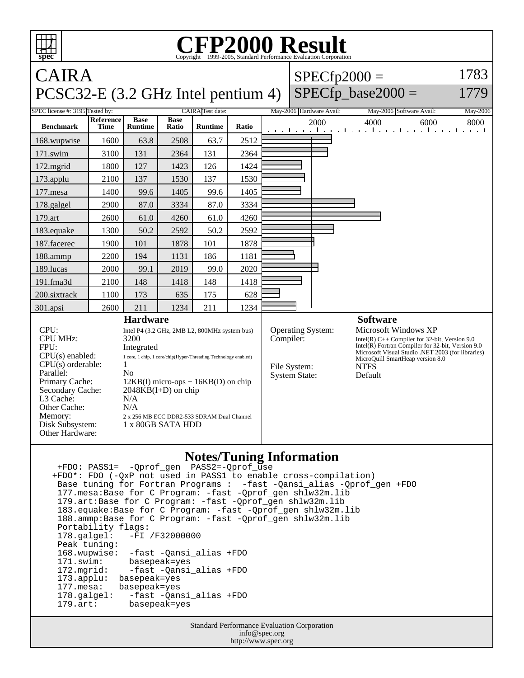| <b>CFP2000 Result</b><br>┯┯┯<br>Copyright ©1999-2005, Standard Performance Evaluation Cornoration<br>spec                                                                                                                                                                                                                                                                                                                                                                                                                                           |                   |                               |                      |                         |       |  |                                                                                                                                                                                                                                                                                                                                                 |  |  |
|-----------------------------------------------------------------------------------------------------------------------------------------------------------------------------------------------------------------------------------------------------------------------------------------------------------------------------------------------------------------------------------------------------------------------------------------------------------------------------------------------------------------------------------------------------|-------------------|-------------------------------|----------------------|-------------------------|-------|--|-------------------------------------------------------------------------------------------------------------------------------------------------------------------------------------------------------------------------------------------------------------------------------------------------------------------------------------------------|--|--|
| <b>CAIRA</b>                                                                                                                                                                                                                                                                                                                                                                                                                                                                                                                                        |                   |                               |                      |                         |       |  | 1783<br>$SPECfp2000 =$                                                                                                                                                                                                                                                                                                                          |  |  |
| PCSC32-E (3.2 GHz Intel pentium 4)                                                                                                                                                                                                                                                                                                                                                                                                                                                                                                                  |                   |                               |                      |                         |       |  | $SPECfp\_base2000 =$<br>1779                                                                                                                                                                                                                                                                                                                    |  |  |
| SPEC license #: 3195 Tested by:                                                                                                                                                                                                                                                                                                                                                                                                                                                                                                                     |                   |                               |                      | <b>CAIRA</b> Test date: |       |  | May-2006 Hardware Avail:<br>May-2006 Software Avail:<br>May-2006                                                                                                                                                                                                                                                                                |  |  |
| <b>Benchmark</b>                                                                                                                                                                                                                                                                                                                                                                                                                                                                                                                                    | Reference<br>Time | <b>Base</b><br><b>Runtime</b> | <b>Base</b><br>Ratio | <b>Runtime</b>          | Ratio |  | 2000<br>4000<br>6000<br>8000<br>المتحاجين والمتواجب والمتواجب والمتواطنين                                                                                                                                                                                                                                                                       |  |  |
| 168.wupwise                                                                                                                                                                                                                                                                                                                                                                                                                                                                                                                                         | 1600              | 63.8                          | 2508                 | 63.7                    | 2512  |  |                                                                                                                                                                                                                                                                                                                                                 |  |  |
| 171.swim                                                                                                                                                                                                                                                                                                                                                                                                                                                                                                                                            | 3100              | 131                           | 2364                 | 131                     | 2364  |  |                                                                                                                                                                                                                                                                                                                                                 |  |  |
| 172.mgrid                                                                                                                                                                                                                                                                                                                                                                                                                                                                                                                                           | 1800              | 127                           | 1423                 | 126                     | 1424  |  |                                                                                                                                                                                                                                                                                                                                                 |  |  |
| $173$ .applu                                                                                                                                                                                                                                                                                                                                                                                                                                                                                                                                        | 2100              | 137                           | 1530                 | 137                     | 1530  |  |                                                                                                                                                                                                                                                                                                                                                 |  |  |
| 177.mesa                                                                                                                                                                                                                                                                                                                                                                                                                                                                                                                                            | 1400              | 99.6                          | 1405                 | 99.6                    | 1405  |  |                                                                                                                                                                                                                                                                                                                                                 |  |  |
| 178.galgel                                                                                                                                                                                                                                                                                                                                                                                                                                                                                                                                          | 2900              | 87.0                          | 3334                 | 87.0                    | 3334  |  |                                                                                                                                                                                                                                                                                                                                                 |  |  |
| 179.art                                                                                                                                                                                                                                                                                                                                                                                                                                                                                                                                             | 2600              | 61.0                          | 4260                 | 61.0                    | 4260  |  |                                                                                                                                                                                                                                                                                                                                                 |  |  |
| 183.equake                                                                                                                                                                                                                                                                                                                                                                                                                                                                                                                                          | 1300              | 50.2                          | 2592                 | 50.2                    | 2592  |  |                                                                                                                                                                                                                                                                                                                                                 |  |  |
| 187.facerec                                                                                                                                                                                                                                                                                                                                                                                                                                                                                                                                         | 1900              | 101                           | 1878                 | 101                     | 1878  |  |                                                                                                                                                                                                                                                                                                                                                 |  |  |
| 188.ammp                                                                                                                                                                                                                                                                                                                                                                                                                                                                                                                                            | 2200              | 194                           | 1131                 | 186                     | 1181  |  |                                                                                                                                                                                                                                                                                                                                                 |  |  |
| 189.lucas                                                                                                                                                                                                                                                                                                                                                                                                                                                                                                                                           | 2000              | 99.1                          | 2019                 | 99.0                    | 2020  |  |                                                                                                                                                                                                                                                                                                                                                 |  |  |
| 191.fma3d                                                                                                                                                                                                                                                                                                                                                                                                                                                                                                                                           | 2100              | 148                           | 1418                 | 148                     | 1418  |  |                                                                                                                                                                                                                                                                                                                                                 |  |  |
| 200.sixtrack                                                                                                                                                                                                                                                                                                                                                                                                                                                                                                                                        | 1100              | 173                           | 635                  | 175                     | 628   |  |                                                                                                                                                                                                                                                                                                                                                 |  |  |
| 301.apsi                                                                                                                                                                                                                                                                                                                                                                                                                                                                                                                                            | 2600              | 211                           | 1234                 | 211                     | 1234  |  |                                                                                                                                                                                                                                                                                                                                                 |  |  |
| <b>Hardware</b><br>CPU:<br>Intel P4 (3.2 GHz, 2MB L2, 800MHz system bus)<br><b>CPU MHz:</b><br>3200<br>FPU:<br>Integrated<br>$CPU(s)$ enabled:<br>1 core, 1 chip, 1 core/chip(Hyper-Threading Technology enabled)<br>CPU(s) orderable:<br>1<br>Parallel:<br>N <sub>0</sub><br>Primary Cache:<br>$12KB(I)$ micro-ops + $16KB(D)$ on chip<br>Secondary Cache:<br>$2048KB(I+D)$ on chip<br>L3 Cache:<br>N/A<br>Other Cache:<br>N/A<br>Memory:<br>2 x 256 MB ECC DDR2-533 SDRAM Dual Channel<br>Disk Subsystem:<br>1 x 80GB SATA HDD<br>Other Hardware: |                   |                               |                      |                         |       |  | <b>Software</b><br>Microsoft Windows XP<br>Operating System:<br>Compiler:<br>Intel(R) $C++$ Compiler for 32-bit, Version 9.0<br>Intel $(R)$ Fortran Compiler for 32-bit, Version 9.0<br>Microsoft Visual Studio .NET 2003 (for libraries)<br>MicroQuill SmartHeap version 8.0<br><b>NTFS</b><br>File System:<br><b>System State:</b><br>Default |  |  |
| <b>Notes/Tuning Information</b><br>+FDO*: FDO (-QxP not used in PASS1 to enable cross-compilation)<br>Base tuning for Fortran Programs : - fast - Qansi_alias - Qprof_gen + FDO<br>177. mesa: Base for C Program: -fast -Qprof_gen shlw32m.lib<br>179.art:Base for C Program: -fast -Qprof_gen shlw32m.lib<br>183.equake: Base for C Program: - fast - Qprof_gen shlw32m.lib<br>188.ammp: Base for C Program: -fast -Qprof_gen shlw32m.lib<br>Portability flags:                                                                                    |                   |                               |                      |                         |       |  |                                                                                                                                                                                                                                                                                                                                                 |  |  |

 Portability flags: 178.galgel: -FI /F32000000 Peak tuning: 168.wupwise: -fast -Qansi\_alias +FDO 171.swim: basepeak=yes<br>172.mgrid: -fast -Qansi 172.mgrid: -fast -Qansi\_alias +FDO<br>173.applu: basepeak=yes 173.applu: basepeak=yes<br>177.mesa: basepeak=yes 177.mesa: basepeak=yes 178.galgel: -fast -Qansi\_alias +FDO 179.art: basepeak=yes

> Standard Performance Evaluation Corporation info@spec.org http://www.spec.org